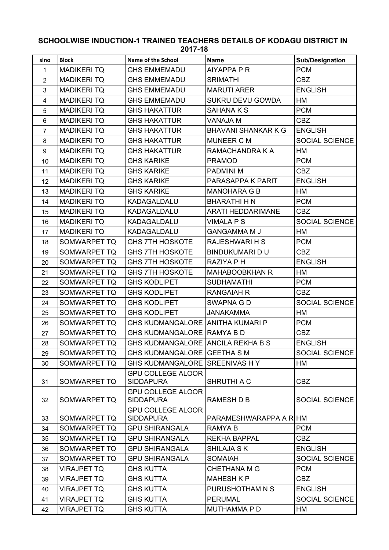## **SCHOOLWISE INDUCTION-1 TRAINED TEACHERS DETAILS OF KODAGU DISTRICT IN 2017-18**

| slno           | <b>Block</b>       | Name of the School                           | <b>Name</b>                | <b>Sub/Designation</b> |
|----------------|--------------------|----------------------------------------------|----------------------------|------------------------|
| $\mathbf{1}$   | <b>MADIKERITQ</b>  | <b>GHS EMMEMADU</b>                          | AIYAPPA P R                | <b>PCM</b>             |
| $\overline{2}$ | <b>MADIKERITQ</b>  | <b>GHS EMMEMADU</b>                          | <b>SRIMATHI</b>            | <b>CBZ</b>             |
| 3              | <b>MADIKERITQ</b>  | <b>GHS EMMEMADU</b>                          | <b>MARUTI ARER</b>         | <b>ENGLISH</b>         |
| 4              | <b>MADIKERITQ</b>  | <b>GHS EMMEMADU</b>                          | SUKRU DEVU GOWDA           | HM                     |
| 5              | <b>MADIKERITQ</b>  | <b>GHS HAKATTUR</b>                          | <b>SAHANAKS</b>            | <b>PCM</b>             |
| $\,6\,$        | <b>MADIKERITQ</b>  | <b>GHS HAKATTUR</b>                          | <b>VANAJA M</b>            | <b>CBZ</b>             |
| $\overline{7}$ | <b>MADIKERITQ</b>  | <b>GHS HAKATTUR</b>                          | <b>BHAVANI SHANKAR K G</b> | <b>ENGLISH</b>         |
| 8              | <b>MADIKERITQ</b>  | <b>GHS HAKATTUR</b>                          | MUNEER C M                 | SOCIAL SCIENCE         |
| 9              | <b>MADIKERITQ</b>  | <b>GHS HAKATTUR</b>                          | RAMACHANDRA K A            | HM                     |
| 10             | <b>MADIKERITQ</b>  | <b>GHS KARIKE</b>                            | <b>PRAMOD</b>              | <b>PCM</b>             |
| 11             | <b>MADIKERITQ</b>  | <b>GHS KARIKE</b>                            | <b>PADMINI M</b>           | <b>CBZ</b>             |
| 12             | <b>MADIKERITQ</b>  | <b>GHS KARIKE</b>                            | PARASAPPA K PARIT          | <b>ENGLISH</b>         |
| 13             | <b>MADIKERITQ</b>  | <b>GHS KARIKE</b>                            | <b>MANOHARA G B</b>        | HM                     |
| 14             | <b>MADIKERITQ</b>  | KADAGALDALU                                  | <b>BHARATHI H N</b>        | <b>PCM</b>             |
| 15             | <b>MADIKERITQ</b>  | KADAGALDALU                                  | <b>ARATI HEDDARIMANE</b>   | <b>CBZ</b>             |
| 16             | <b>MADIKERITQ</b>  | KADAGALDALU                                  | <b>VIMALA P S</b>          | <b>SOCIAL SCIENCE</b>  |
| 17             | <b>MADIKERITQ</b>  | KADAGALDALU                                  | <b>GANGAMMA M J</b>        | HM                     |
| 18             | SOMWARPET TQ       | <b>GHS 7TH HOSKOTE</b>                       | <b>RAJESHWARI H S</b>      | <b>PCM</b>             |
| 19             | SOMWARPET TQ       | <b>GHS 7TH HOSKOTE</b>                       | <b>BINDUKUMARI D U</b>     | <b>CBZ</b>             |
| 20             | SOMWARPET TQ       | <b>GHS 7TH HOSKOTE</b>                       | RAZIYA P H                 | <b>ENGLISH</b>         |
| 21             | SOMWARPET TQ       | <b>GHS 7TH HOSKOTE</b>                       | <b>MAHABOOBKHAN R</b>      | HM                     |
| 22             | SOMWARPET TQ       | <b>GHS KODLIPET</b>                          | <b>SUDHAMATHI</b>          | <b>PCM</b>             |
| 23             | SOMWARPET TQ       | <b>GHS KODLIPET</b>                          | <b>RANGAIAH R</b>          | <b>CBZ</b>             |
| 24             | SOMWARPET TQ       | <b>GHS KODLIPET</b>                          | SWAPNA G D                 | <b>SOCIAL SCIENCE</b>  |
| 25             | SOMWARPET TQ       | <b>GHS KODLIPET</b>                          | <b>JANAKAMMA</b>           | HM                     |
| 26             | SOMWARPET TQ       | <b>GHS KUDMANGALORE ANITHA KUMARI P</b>      |                            | <b>PCM</b>             |
| 27             | SOMWARPET TQ       | <b>GHS KUDMANGALORE RAMYA B D</b>            |                            | <b>CBZ</b>             |
| 28             | SOMWARPET TQ       | <b>GHS KUDMANGALORE ANCILA REKHA B S</b>     |                            | <b>ENGLISH</b>         |
| 29             | SOMWARPET TQ       | GHS KUDMANGALORE GEETHA S M                  |                            | <b>SOCIAL SCIENCE</b>  |
| 30             | SOMWARPET TQ       | GHS KUDMANGALORE SREENIVAS HY                |                            | HM                     |
| 31             | SOMWARPET TQ       | <b>GPU COLLEGE ALOOR</b><br><b>SIDDAPURA</b> | SHRUTHI A C                | <b>CBZ</b>             |
| 32             | SOMWARPET TQ       | <b>GPU COLLEGE ALOOR</b><br><b>SIDDAPURA</b> | RAMESH D B                 | <b>SOCIAL SCIENCE</b>  |
| 33             | SOMWARPET TQ       | <b>GPU COLLEGE ALOOR</b><br><b>SIDDAPURA</b> | PARAMESHWARAPPA A RIHM     |                        |
| 34             | SOMWARPET TQ       | <b>GPU SHIRANGALA</b>                        | RAMYA B                    | <b>PCM</b>             |
| 35             | SOMWARPET TQ       | <b>GPU SHIRANGALA</b>                        | <b>REKHA BAPPAL</b>        | <b>CBZ</b>             |
| 36             | SOMWARPET TQ       | <b>GPU SHIRANGALA</b>                        | <b>SHILAJA SK</b>          | <b>ENGLISH</b>         |
| 37             | SOMWARPET TQ       | <b>GPU SHIRANGALA</b>                        | <b>SOMAIAH</b>             | <b>SOCIAL SCIENCE</b>  |
| 38             | <b>VIRAJPET TQ</b> | <b>GHS KUTTA</b>                             | CHETHANA M G               | <b>PCM</b>             |
| 39             | <b>VIRAJPET TQ</b> | <b>GHS KUTTA</b>                             | <b>MAHESH K P</b>          | <b>CBZ</b>             |
| 40             | <b>VIRAJPET TQ</b> | <b>GHS KUTTA</b>                             | PURUSHOTHAM N S            | <b>ENGLISH</b>         |
| 41             | <b>VIRAJPET TQ</b> | <b>GHS KUTTA</b>                             | <b>PERUMAL</b>             | <b>SOCIAL SCIENCE</b>  |
| 42             | <b>VIRAJPET TQ</b> | <b>GHS KUTTA</b>                             | <b>MUTHAMMA P D</b>        | HM                     |